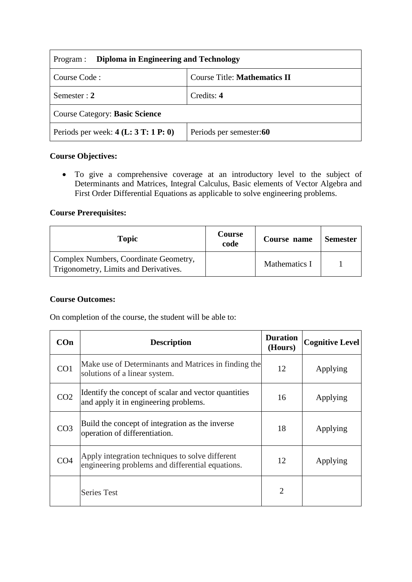| Diploma in Engineering and Technology<br>Program : |                                     |  |
|----------------------------------------------------|-------------------------------------|--|
| Course Code:                                       | <b>Course Title: Mathematics II</b> |  |
| Semester : $2$                                     | Credits: 4                          |  |
| <b>Course Category: Basic Science</b>              |                                     |  |
| Periods per week: $4(L: 3T: 1P: 0)$                | Periods per semester:60             |  |

## **Course Objectives:**

 To give a comprehensive coverage at an introductory level to the subject of Determinants and Matrices, Integral Calculus, Basic elements of Vector Algebra and First Order Differential Equations as applicable to solve engineering problems.

#### **Course Prerequisites:**

| <b>Topic</b>                                                                   | <b>Course</b><br>code | Course name   | <b>Semester</b> |
|--------------------------------------------------------------------------------|-----------------------|---------------|-----------------|
| Complex Numbers, Coordinate Geometry,<br>Trigonometry, Limits and Derivatives. |                       | Mathematics I |                 |

#### **Course Outcomes:**

On completion of the course, the student will be able to:

| COn             | <b>Description</b>                                                                                  | <b>Duration</b><br>(Hours) | <b>Cognitive Level</b> |
|-----------------|-----------------------------------------------------------------------------------------------------|----------------------------|------------------------|
| CO1             | Make use of Determinants and Matrices in finding the<br>solutions of a linear system.               | 12                         | Applying               |
| CO <sub>2</sub> | Identify the concept of scalar and vector quantities<br>and apply it in engineering problems.       | 16                         | Applying               |
| CO <sub>3</sub> | Build the concept of integration as the inverse<br>operation of differentiation.                    | 18                         | Applying               |
| CO <sub>4</sub> | Apply integration techniques to solve different<br>engineering problems and differential equations. | 12                         | Applying               |
|                 | <b>Series Test</b>                                                                                  | $\overline{2}$             |                        |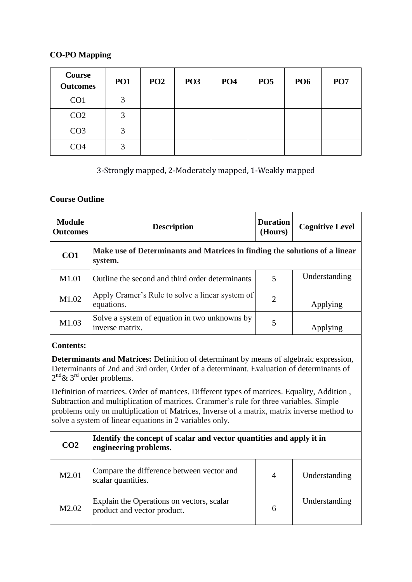### **CO-PO Mapping**

| Course<br><b>Outcomes</b> | PO <sub>1</sub> | PO <sub>2</sub> | PO <sub>3</sub> | PO <sub>4</sub> | PO <sub>5</sub> | <b>PO6</b> | PO <sub>7</sub> |
|---------------------------|-----------------|-----------------|-----------------|-----------------|-----------------|------------|-----------------|
| CO <sub>1</sub>           | 2               |                 |                 |                 |                 |            |                 |
| CO <sub>2</sub>           | 3               |                 |                 |                 |                 |            |                 |
| CO <sub>3</sub>           | 3               |                 |                 |                 |                 |            |                 |
| CO <sub>4</sub>           | 2               |                 |                 |                 |                 |            |                 |

# 3-Strongly mapped, 2-Moderately mapped, 1-Weakly mapped

### **Course Outline**

| <b>Module</b><br><b>Outcomes</b> | <b>Description</b>                                                                    | <b>Duration</b><br>(Hours) | <b>Cognitive Level</b> |
|----------------------------------|---------------------------------------------------------------------------------------|----------------------------|------------------------|
| CO <sub>1</sub>                  | Make use of Determinants and Matrices in finding the solutions of a linear<br>system. |                            |                        |
| M1.01                            | Outline the second and third order determinants                                       | 5                          | Understanding          |
| M1.02                            | Apply Cramer's Rule to solve a linear system of<br>equations.                         | $\overline{2}$             | Applying               |
| M1.03                            | Solve a system of equation in two unknowns by<br>inverse matrix.                      | 5                          |                        |

## **Contents:**

**Determinants and Matrices:** Definition of determinant by means of algebraic expression, Determinants of 2nd and 3rd order, Order of a determinant. Evaluation of determinants of  $2<sup>nd</sup>$ & 3<sup>rd</sup> order problems.

Definition of matrices. Order of matrices. Different types of matrices. Equality, Addition , Subtraction and multiplication of matrices. Crammer's rule for three variables. Simple problems only on multiplication of Matrices, Inverse of a matrix, matrix inverse method to solve a system of linear equations in 2 variables only.

| CO <sub>2</sub>   | Identify the concept of scalar and vector quantities and apply it in<br>engineering problems. |                |               |
|-------------------|-----------------------------------------------------------------------------------------------|----------------|---------------|
| M2.01             | Compare the difference between vector and<br>scalar quantities.                               | $\overline{4}$ | Understanding |
| M <sub>2.02</sub> | Explain the Operations on vectors, scalar<br>product and vector product.                      | 6              | Understanding |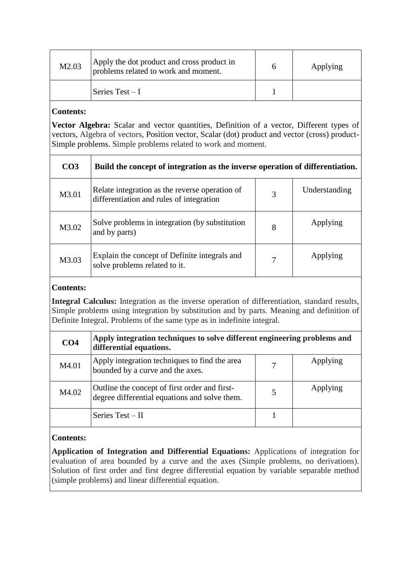| M2.03 | Apply the dot product and cross product in<br>problems related to work and moment. | Applying |
|-------|------------------------------------------------------------------------------------|----------|
|       | Series Test – I                                                                    |          |

# **Contents:**

**Vector Algebra:** Scalar and vector quantities, Definition of a vector, Different types of vectors, Algebra of vectors, Position vector, Scalar (dot) product and vector (cross) product-Simple problems. Simple problems related to work and moment.

| CO <sub>3</sub> | Build the concept of integration as the inverse operation of differentiation.              |   |               |
|-----------------|--------------------------------------------------------------------------------------------|---|---------------|
| M3.01           | Relate integration as the reverse operation of<br>differentiation and rules of integration | 3 | Understanding |
| M3.02           | Solve problems in integration (by substitution<br>and by parts)                            | 8 | Applying      |
| M3.03           | Explain the concept of Definite integrals and<br>solve problems related to it.             | 7 | Applying      |

## **Contents:**

**Integral Calculus:** Integration as the inverse operation of differentiation, standard results, Simple problems using integration by substitution and by parts. Meaning and definition of Definite Integral. Problems of the same type as in indefinite integral.

| CO <sub>4</sub> | Apply integration techniques to solve different engineering problems and<br>differential equations. |   |          |
|-----------------|-----------------------------------------------------------------------------------------------------|---|----------|
| M4.01           | Apply integration techniques to find the area<br>bounded by a curve and the axes.                   |   | Applying |
| M4.02           | Outline the concept of first order and first-<br>degree differential equations and solve them.      | 5 | Applying |
|                 | Series $Test - II$                                                                                  |   |          |

# **Contents:**

**Application of Integration and Differential Equations:** Applications of integration for evaluation of area bounded by a curve and the axes (Simple problems, no derivations). Solution of first order and first degree differential equation by variable separable method (simple problems) and linear differential equation.